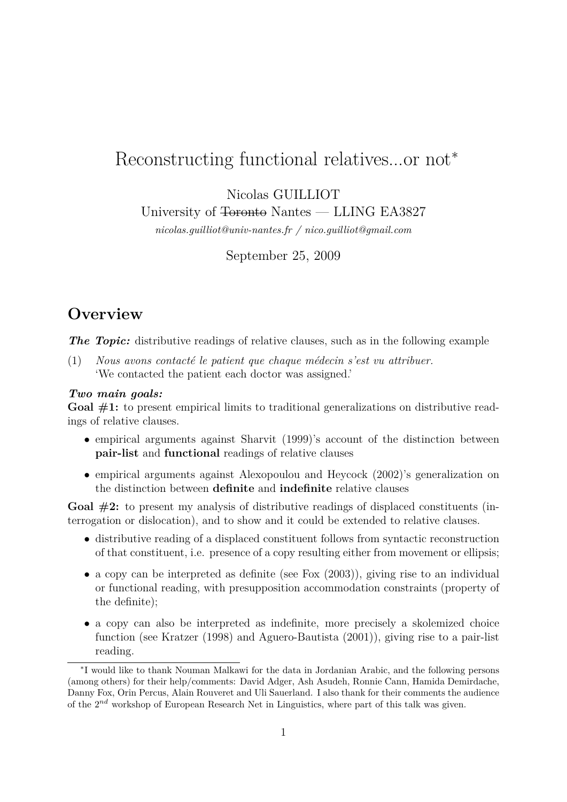# Reconstructing functional relatives...or not<sup>∗</sup>

Nicolas GUILLIOT

University of Toronto Nantes — LLING EA3827

*nicolas.guilliot@univ-nantes.fr / nico.guilliot@gmail.com*

September 25, 2009

# **Overview**

*The Topic:* distributive readings of relative clauses, such as in the following example

(1) *Nous avons contacté le patient que chaque médecin s'est vu attribuer.* 'We contacted the patient each doctor was assigned.'

## *Two main goals:*

Goal  $\#1$ : to present empirical limits to traditional generalizations on distributive readings of relative clauses.

- empirical arguments against Sharvit (1999)'s account of the distinction between **pair-list** and **functional** readings of relative clauses
- empirical arguments against Alexopoulou and Heycock (2002)'s generalization on the distinction between **definite** and **indefinite** relative clauses

**Goal #2:** to present my analysis of distributive readings of displaced constituents (interrogation or dislocation), and to show and it could be extended to relative clauses.

- distributive reading of a displaced constituent follows from syntactic reconstruction of that constituent, i.e. presence of a copy resulting either from movement or ellipsis;
- a copy can be interpreted as definite (see Fox (2003)), giving rise to an individual or functional reading, with presupposition accommodation constraints (property of the definite);
- a copy can also be interpreted as indefinite, more precisely a skolemized choice function (see Kratzer (1998) and Aguero-Bautista (2001)), giving rise to a pair-list reading.

<sup>∗</sup> I would like to thank Nouman Malkawi for the data in Jordanian Arabic, and the following persons (among others) for their help/comments: David Adger, Ash Asudeh, Ronnie Cann, Hamida Demirdache, Danny Fox, Orin Percus, Alain Rouveret and Uli Sauerland. I also thank for their comments the audience of the 2*nd* workshop of European Research Net in Linguistics, where part of this talk was given.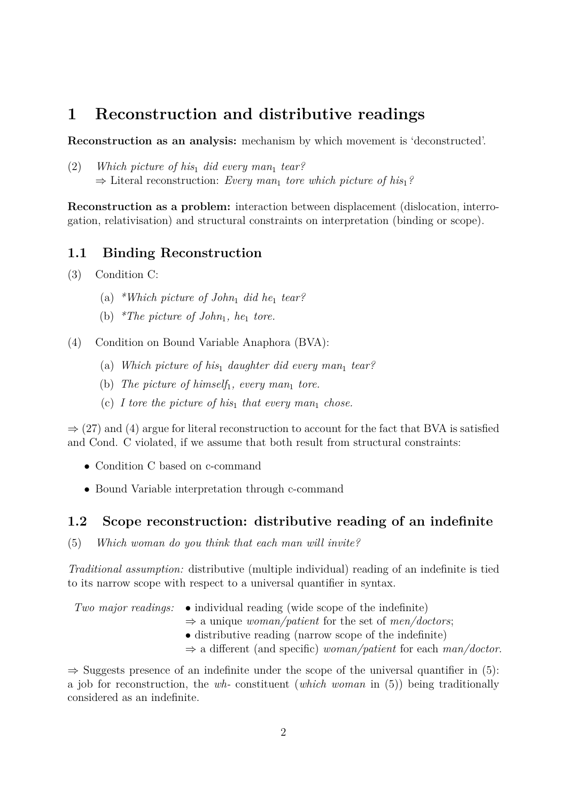# **1 Reconstruction and distributive readings**

**Reconstruction as an analysis:** mechanism by which movement is 'deconstructed'.

(2) *Which picture of his*<sup>1</sup> *did every man*<sup>1</sup> *tear?*  $\Rightarrow$  Literal reconstruction: *Every man<sub>1</sub> tore which picture of his*<sub>1</sub>*?* 

**Reconstruction as a problem:** interaction between displacement (dislocation, interrogation, relativisation) and structural constraints on interpretation (binding or scope).

## **1.1 Binding Reconstruction**

- (3) Condition C:
	- (a) *\*Which picture of John*<sup>1</sup> *did he*<sup>1</sup> *tear?*
	- (b) *\*The picture of John*1*, he*<sup>1</sup> *tore.*
- (4) Condition on Bound Variable Anaphora (BVA):
	- (a) *Which picture of his*<sup>1</sup> *daughter did every man*<sup>1</sup> *tear?*
	- (b) The picture of himself<sub>1</sub>, every man<sub>1</sub> tore.
	- (c) I tore the picture of his<sub>1</sub> that every man<sub>1</sub> chose.

 $\Rightarrow$  (27) and (4) argue for literal reconstruction to account for the fact that BVA is satisfied and Cond. C violated, if we assume that both result from structural constraints:

- Condition C based on c-command
- Bound Variable interpretation through c-command

### **1.2 Scope reconstruction: distributive reading of an indefinite**

(5) *Which woman do you think that each man will invite?*

*Traditional assumption:* distributive (multiple individual) reading of an indefinite is tied to its narrow scope with respect to a universal quantifier in syntax.

*Two major readings:* • individual reading (wide scope of the indefinite) ⇒ a unique *woman/patient* for the set of *men/doctors*; • distributive reading (narrow scope of the indefinite)

⇒ a different (and specific) *woman/patient* for each *man/doctor*.

 $\Rightarrow$  Suggests presence of an indefinite under the scope of the universal quantifier in (5): a job for reconstruction, the *wh-* constituent (*which woman* in (5)) being traditionally considered as an indefinite.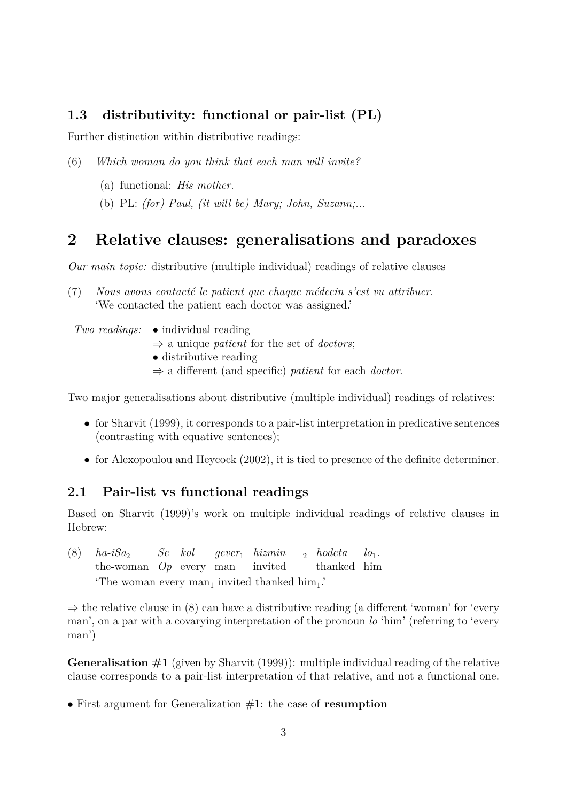## **1.3 distributivity: functional or pair-list (PL)**

Further distinction within distributive readings:

- (6) *Which woman do you think that each man will invite?*
	- (a) functional: *His mother.*
	- (b) PL: *(for) Paul, (it will be) Mary; John, Suzann;...*

## **2 Relative clauses: generalisations and paradoxes**

*Our main topic:* distributive (multiple individual) readings of relative clauses

- (7) *Nous avons contacté le patient que chaque médecin s'est vu attribuer.* 'We contacted the patient each doctor was assigned.'
	- *Two readings:* individual reading
		- ⇒ a unique *patient* for the set of *doctors*;
		- distributive reading
		- ⇒ a different (and specific) *patient* for each *doctor*.

Two major generalisations about distributive (multiple individual) readings of relatives:

- for Sharvit (1999), it corresponds to a pair-list interpretation in predicative sentences (contrasting with equative sentences);
- for Alexopoulou and Heycock (2002), it is tied to presence of the definite determiner.

## **2.1 Pair-list vs functional readings**

Based on Sharvit (1999)'s work on multiple individual readings of relative clauses in Hebrew:

 $(8)$  *ha-iSa*<sub>2</sub> the-woman *Op* every man *Se kol gever*<sup>1</sup> *hizmin* invited <sup>2</sup> *hodeta* thanked him  $l_{O_1}$ . 'The woman every man<sub>1</sub> invited thanked him<sub>1</sub>.'

 $\Rightarrow$  the relative clause in (8) can have a distributive reading (a different 'woman' for 'every man', on a par with a covarying interpretation of the pronoun *lo* 'him' (referring to 'every man')

**Generalisation**  $\#1$  (given by Sharvit (1999)): multiple individual reading of the relative clause corresponds to a pair-list interpretation of that relative, and not a functional one.

• First argument for Generalization #1: the case of **resumption**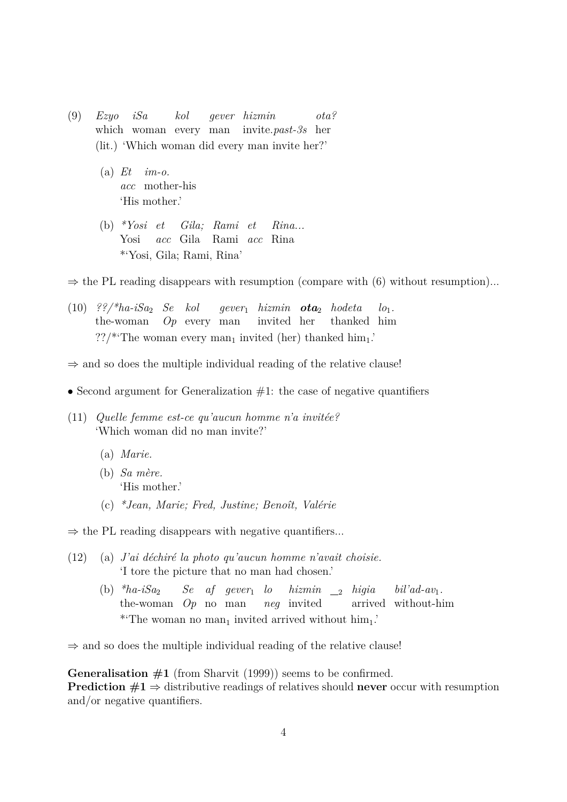- (9) *Ezyo iSa* which woman every man invite.*past-3s* her *kol gever hizmin ota?* (lit.) 'Which woman did every man invite her?'
	- (a) *Et im-o. acc* mother-his 'His mother.'
	- (b) *\*Yosi et* Yosi *acc* Gila Rami *acc* Rina *Gila; Rami et Rina...* \*'Yosi, Gila; Rami, Rina'

 $\Rightarrow$  the PL reading disappears with resumption (compare with (6) without resumption)...

- (10) *??/\*ha-iSa*<sup>2</sup> *Se kol* the-woman *Op* every man *gever*<sup>1</sup> *hizmin ota*<sup>2</sup> *hodeta* invited her thanked him  $l_{O_1}$ . ??/\*'The woman every man<sub>1</sub> invited (her) thanked him<sub>1</sub>.'
- $\Rightarrow$  and so does the multiple individual reading of the relative clause!
- Second argument for Generalization  $#1$ : the case of negative quantifiers
- (11) *Quelle femme est-ce qu'aucun homme n'a invitée?* 'Which woman did no man invite?'
	- (a) *Marie.*
	- (b) *Sa mère.* 'His mother.'
	- (c) *\*Jean, Marie; Fred, Justine; Benoît, Valérie*

 $\Rightarrow$  the PL reading disappears with negative quantifiers...

- (12) (a) *J'ai déchiré la photo qu'aucun homme n'avait choisie.* 'I tore the picture that no man had chosen.'
	- (b)  $*ha-iSa_2$ the-woman *Op* no man *Se af gever*<sup>1</sup> *lo neg* invited *hizmin* <sup>2</sup> *higia* arrived without-him  $bil'ad-av_1$ . \*'The woman no man<sub>1</sub> invited arrived without him<sub>1</sub>.'
- $\Rightarrow$  and so does the multiple individual reading of the relative clause!

**Generalisation #1** (from Sharvit (1999)) seems to be confirmed. **Prediction**  $\#1 \Rightarrow$  distributive readings of relatives should **never** occur with resumption and/or negative quantifiers.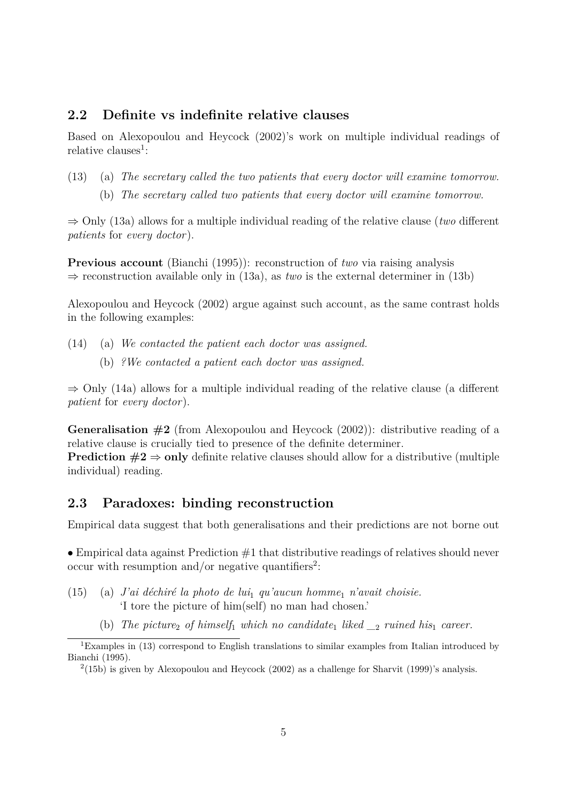## **2.2 Definite vs indefinite relative clauses**

Based on Alexopoulou and Heycock (2002)'s work on multiple individual readings of  $relative$  clauses<sup>1</sup>:

(13) (a) *The secretary called the two patients that every doctor will examine tomorrow.* (b) *The secretary called two patients that every doctor will examine tomorrow.*

⇒ Only (13a) allows for a multiple individual reading of the relative clause (*two* different *patients* for *every doctor*).

**Previous account** (Bianchi (1995)): reconstruction of *two* via raising analysis  $\Rightarrow$  reconstruction available only in (13a), as *two* is the external determiner in (13b)

Alexopoulou and Heycock (2002) argue against such account, as the same contrast holds in the following examples:

- (14) (a) *We contacted the patient each doctor was assigned.*
	- (b) *?We contacted a patient each doctor was assigned.*

 $\Rightarrow$  Only (14a) allows for a multiple individual reading of the relative clause (a different *patient* for *every doctor*).

**Generalisation #2** (from Alexopoulou and Heycock (2002)): distributive reading of a relative clause is crucially tied to presence of the definite determiner. **Prediction**  $\#2 \Rightarrow$  **only** definite relative clauses should allow for a distributive (multiple

individual) reading.

### **2.3 Paradoxes: binding reconstruction**

Empirical data suggest that both generalisations and their predictions are not borne out

• Empirical data against Prediction  $#1$  that distributive readings of relatives should never occur with resumption and/or negative quantifiers<sup>2</sup>:

- (15) (a) *J'ai déchiré la photo de lui*<sup>1</sup> *qu'aucun homme*<sup>1</sup> *n'avait choisie.* 'I tore the picture of him(self) no man had chosen.'
	- (b) The picture<sub>2</sub> of himself<sub>1</sub> which no candidate<sub>1</sub> liked  $\frac{1}{2}$  ruined his<sub>1</sub> career.

<sup>&</sup>lt;sup>1</sup>Examples in (13) correspond to English translations to similar examples from Italian introduced by Bianchi (1995).

 $2(15b)$  is given by Alexopoulou and Heycock (2002) as a challenge for Sharvit (1999)'s analysis.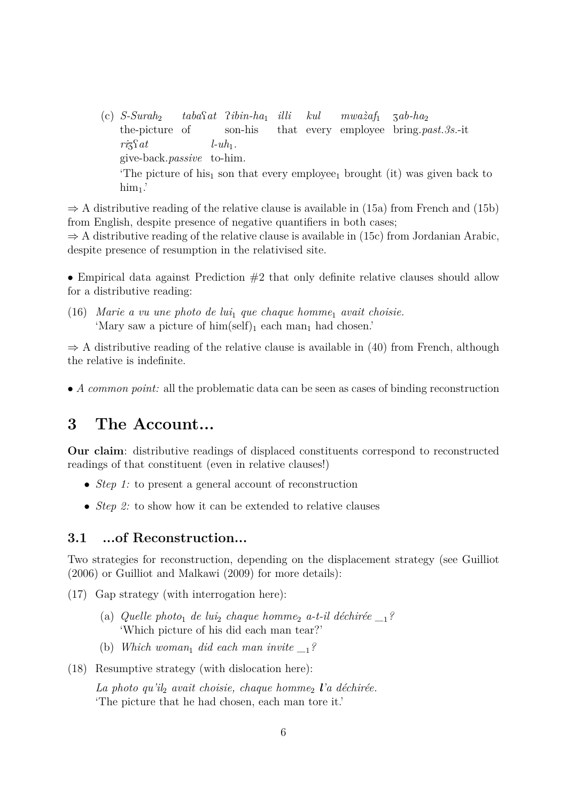$(c)$  *S-Surah*<sub>2</sub> the-picture of *taba*Q*at* P*ibin-ha*<sup>1</sup> *illi* son-his that every employee bring.*past.3s.*-it *kul mwa`zaf*<sup>1</sup> Z*ab-ha*<sup>2</sup>  $ri\overline{\varsigma}$ <del>*at*</del> give-back.*passive* to-him.  $l$ - $uh_1$ . The picture of his<sub>1</sub> son that every employee<sub>1</sub> brought (it) was given back to  $him_1$ .

 $\Rightarrow$  A distributive reading of the relative clause is available in (15a) from French and (15b) from English, despite presence of negative quantifiers in both cases;

 $\Rightarrow$  A distributive reading of the relative clause is available in (15c) from Jordanian Arabic, despite presence of resumption in the relativised site.

• Empirical data against Prediction  $#2$  that only definite relative clauses should allow for a distributive reading:

(16) *Marie a vu une photo de lui*<sup>1</sup> *que chaque homme*<sup>1</sup> *avait choisie.* 'Mary saw a picture of  $\lim(\text{self})_1$  each man<sub>1</sub> had chosen.'

 $\Rightarrow$  A distributive reading of the relative clause is available in (40) from French, although the relative is indefinite.

• *A common point:* all the problematic data can be seen as cases of binding reconstruction

## **3 The Account...**

**Our claim**: distributive readings of displaced constituents correspond to reconstructed readings of that constituent (even in relative clauses!)

- *Step 1:* to present a general account of reconstruction
- *Step 2:* to show how it can be extended to relative clauses

### **3.1 ...of Reconstruction...**

Two strategies for reconstruction, depending on the displacement strategy (see Guilliot (2006) or Guilliot and Malkawi (2009) for more details):

- (17) Gap strategy (with interrogation here):
	- (a) *Quelle photo*<sup>1</sup> *de lui*<sup>2</sup> *chaque homme*<sup>2</sup> *a-t-il déchirée \_*1*?* 'Which picture of his did each man tear?'
	- (b) *Which woman<sub>1</sub> did each man invite*  $\frac{1}{2}$ ?
- (18) Resumptive strategy (with dislocation here):

*La photo qu'il*<sup>2</sup> *avait choisie, chaque homme*<sup>2</sup> *l'a déchirée.* 'The picture that he had chosen, each man tore it.'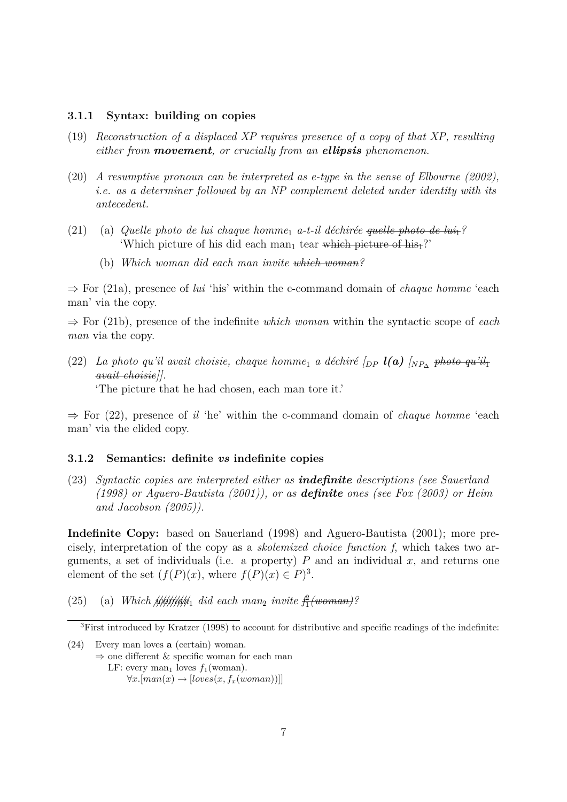#### **3.1.1 Syntax: building on copies**

- (19) *Reconstruction of a displaced XP requires presence of a copy of that XP, resulting either from movement, or crucially from an ellipsis phenomenon.*
- (20) *A resumptive pronoun can be interpreted as e-type in the sense of Elbourne (2002), i.e. as a determiner followed by an NP complement deleted under identity with its antecedent.*
- (21) (a) *Quelle photo de lui chaque homme*<sup>1</sup> *a-t-il déchirée quelle photo de lui*1*?* 'Which picture of his did each man<sub>1</sub> tear which picture of his<sub>1</sub>?'
	- (b) *Which woman did each man invite which woman?*

⇒ For (21a), presence of *lui* 'his' within the c-command domain of *chaque homme* 'each man' via the copy.

⇒ For (21b), presence of the indefinite *which woman* within the syntactic scope of *each man* via the copy.

(22) *La photo qu'il avait choisie, chaque homme<sub>1</sub> a déchiré*  $\lceil_{DP} \ l(a) \rceil_{NP_{\Delta}}$  *photo qu'il*<sub>1</sub> *avait choisie]].* 'The picture that he had chosen, each man tore it.'

⇒ For (22), presence of *il* 'he' within the c-command domain of *chaque homme* 'each man' via the elided copy.

#### **3.1.2 Semantics: definite** *vs* **indefinite copies**

(23) *Syntactic copies are interpreted either as indefinite descriptions (see Sauerland (1998) or Aguero-Bautista (2001)), or as definite ones (see Fox (2003) or Heim and Jacobson (2005)).*

**Indefinite Copy:** based on Sauerland (1998) and Aguero-Bautista (2001); more precisely, interpretation of the copy as a *skolemized choice function f*, which takes two arguments, a set of individuals (i.e. a property)  $P$  and an individual  $x$ , and returns one element of the set  $(f(P)(x))$ , where  $f(P)(x) \in P$ <sup>3</sup>.

(25) (a) *Which*  $\frac{1}{2}$   $\frac{1}{2}$   $\frac{1}{2}$   $\frac{1}{2}$   $\frac{1}{2}$   $\frac{1}{2}$   $\frac{1}{2}$   $\frac{1}{2}$   $\frac{1}{2}$   $\frac{1}{2}$   $\frac{1}{2}$   $\frac{1}{2}$   $\frac{1}{2}$   $\frac{1}{2}$   $\frac{1}{2}$   $\frac{1}{2}$   $\frac{1}{2}$   $\frac{1}{2}$   $\frac{1}{2}$   $\frac{1}{2}$   $\frac{$ 

(24) Every man loves **a** (certain) woman. ⇒ one different & specific woman for each man LF: every man<sub>1</sub> loves  $f_1(\text{woman})$ .  $∀x.[man(x) → [loves(x, f_x(woman))]]$ 

<sup>3</sup>First introduced by Kratzer (1998) to account for distributive and specific readings of the indefinite: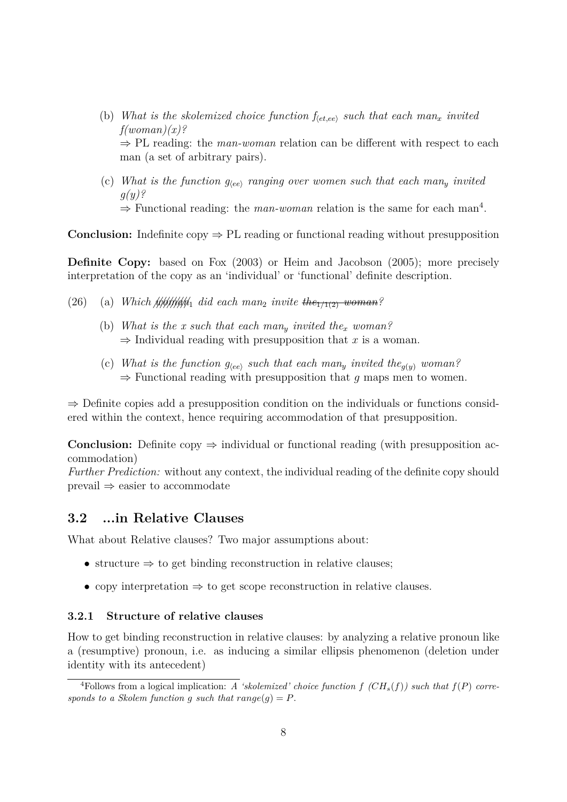- (b) *What is the skolemized choice function*  $f_{\langle etc, ee \rangle}$  *such that each man<sub>x</sub> invited f(woman)(x)?* ⇒ PL reading: the *man-woman* relation can be different with respect to each man (a set of arbitrary pairs).
- (c) What is the function  $g_{\langle ee\rangle}$  ranging over women such that each man<sub>y</sub> invited *g(y)?*  $\Rightarrow$  Functional reading: the *man-woman* relation is the same for each man<sup>4</sup>.

**Conclusion:** Indefinite copy  $\Rightarrow$  PL reading or functional reading without presupposition

**Definite Copy:** based on Fox (2003) or Heim and Jacobson (2005); more precisely interpretation of the copy as an 'individual' or 'functional' definite description.

- (26) (a) *Which*  $\frac{1}{4}$  $\frac{1}{4}$  *did each man<sub>2</sub> invite*  $\frac{1}{4}$  $\frac{1}{4}$  $\frac{1}{2}$  *woman?* 
	- (b) *What is the x such that each man<sup>y</sup> invited the<sup>x</sup> woman?*  $\Rightarrow$  Individual reading with presupposition that *x* is a woman.
	- (c) *What is the function*  $g_{\langle ee\rangle}$  *such that each man<sub>y</sub> invited the<sub><i>g*(*y*)</sub> *woman?* ⇒ Functional reading with presupposition that *g* maps men to women.

 $\Rightarrow$  Definite copies add a presupposition condition on the individuals or functions considered within the context, hence requiring accommodation of that presupposition.

**Conclusion:** Definite copy  $\Rightarrow$  individual or functional reading (with presupposition accommodation)

*Further Prediction:* without any context, the individual reading of the definite copy should prevail ⇒ easier to accommodate

## **3.2 ...in Relative Clauses**

What about Relative clauses? Two major assumptions about:

- structure  $\Rightarrow$  to get binding reconstruction in relative clauses;
- copy interpretation  $\Rightarrow$  to get scope reconstruction in relative clauses.

#### **3.2.1 Structure of relative clauses**

How to get binding reconstruction in relative clauses: by analyzing a relative pronoun like a (resumptive) pronoun, i.e. as inducing a similar ellipsis phenomenon (deletion under identity with its antecedent)

<sup>&</sup>lt;sup>4</sup>Follows from a logical implication: *A 'skolemized' choice function*  $f(CH_s(f))$  *such that*  $f(P)$  *corresponds to a Skolem function g such that*  $range(g) = P$ .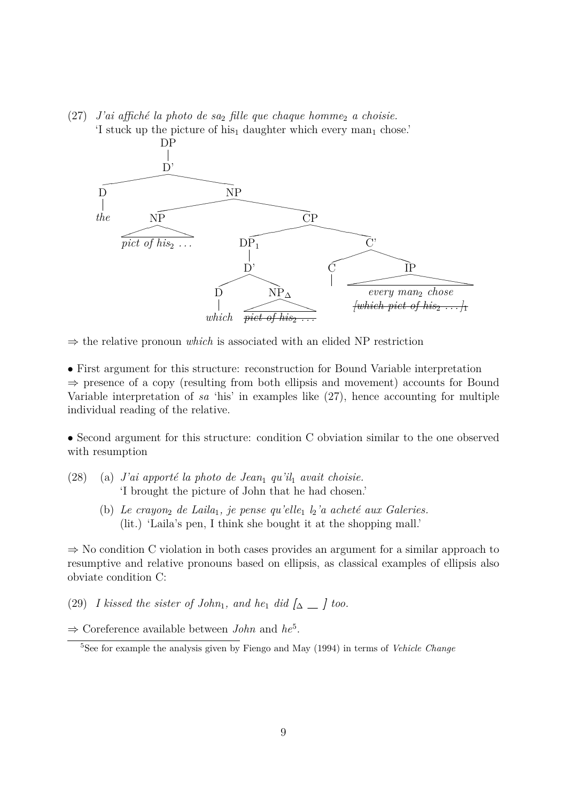$(27)$  *J'ai affiché la photo de sa<sub>2</sub> fille que chaque homme<sub>2</sub> a choisie.* 'I stuck up the picture of his<sub>1</sub> daughter which every man<sub>1</sub> chose.'



⇒ the relative pronoun *which* is associated with an elided NP restriction

• First argument for this structure: reconstruction for Bound Variable interpretation ⇒ presence of a copy (resulting from both ellipsis and movement) accounts for Bound Variable interpretation of *sa* 'his' in examples like (27), hence accounting for multiple individual reading of the relative.

• Second argument for this structure: condition C obviation similar to the one observed with resumption

- (28) (a) *J'ai apporté la photo de Jean*<sup>1</sup> *qu'il*<sup>1</sup> *avait choisie.* 'I brought the picture of John that he had chosen.'
	- (b) *Le crayon*<sup>2</sup> *de Laila*1*, je pense qu'elle*<sup>1</sup> *l*2*'a acheté aux Galeries.* (lit.) 'Laila's pen, I think she bought it at the shopping mall.'

 $\Rightarrow$  No condition C violation in both cases provides an argument for a similar approach to resumptive and relative pronouns based on ellipsis, as classical examples of ellipsis also obviate condition C:

- (29) *I kissed the sister of John*<sub>1</sub>*, and he<sub>1</sub> did*  $\lbrack \Delta \rbrack$  *too.*
- ⇒ Coreference available between *John* and *he*<sup>5</sup> .

<sup>5</sup>See for example the analysis given by Fiengo and May (1994) in terms of *Vehicle Change*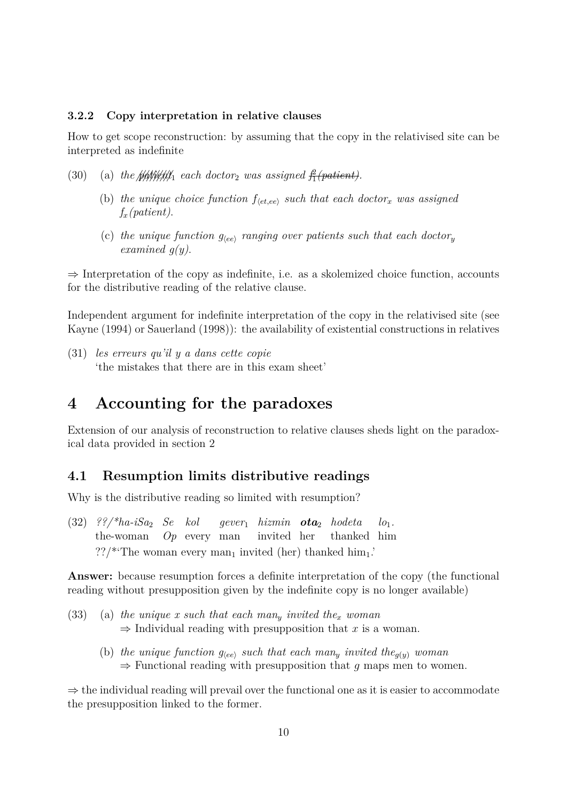#### **3.2.2 Copy interpretation in relative clauses**

How to get scope reconstruction: by assuming that the copy in the relativised site can be interpreted as indefinite

- (30) (a) the  $\frac{1}{2}$  ( $\frac{1}{2}$  *(* $\frac{1}{2}$  *each doctor<sub>2</sub> was assigned*  $\frac{1}{2}$  ( $\frac{1}{2}$  *(patient)*.
	- (b) the unique choice function  $f_{\langle etc, ee \rangle}$  such that each doctor<sub>x</sub> was assigned *fx(patient)*.
	- (c) the unique function  $g_{\text{(ee)}}$  ranging over patients such that each doctor<sub>y</sub> *examined g(y)*.

 $\Rightarrow$  Interpretation of the copy as indefinite, i.e. as a skolemized choice function, accounts for the distributive reading of the relative clause.

Independent argument for indefinite interpretation of the copy in the relativised site (see Kayne (1994) or Sauerland (1998)): the availability of existential constructions in relatives

(31) *les erreurs qu'il y a dans cette copie* 'the mistakes that there are in this exam sheet'

## **4 Accounting for the paradoxes**

Extension of our analysis of reconstruction to relative clauses sheds light on the paradoxical data provided in section 2

### **4.1 Resumption limits distributive readings**

Why is the distributive reading so limited with resumption?

(32) *??/\*ha-iSa*<sup>2</sup> *Se kol* the-woman *Op* every man *gever*<sup>1</sup> *hizmin ota*<sup>2</sup> *hodeta* invited her thanked him *lo*1*.* ??/\*'The woman every man<sub>1</sub> invited (her) thanked him<sub>1</sub>.'

**Answer:** because resumption forces a definite interpretation of the copy (the functional reading without presupposition given by the indefinite copy is no longer available)

- (33) (a) *the unique x such that each man<sup>y</sup> invited the<sup>x</sup> woman*  $\Rightarrow$  Individual reading with presupposition that *x* is a woman.
	- (b) the unique function  $g_{\text{ee}}$  *such that each man<sub>y</sub> invited the*<sub>*g*(*y*)</sub> *woman* ⇒ Functional reading with presupposition that *g* maps men to women.

 $\Rightarrow$  the individual reading will prevail over the functional one as it is easier to accommodate the presupposition linked to the former.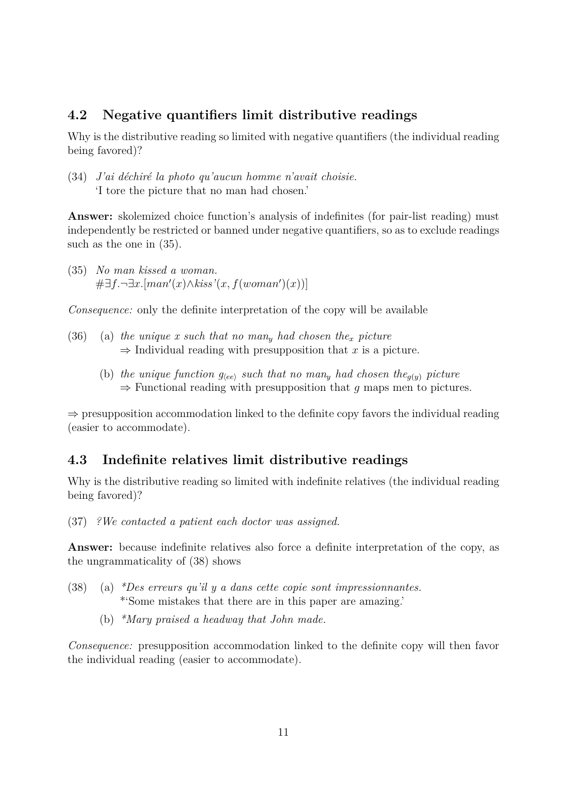## **4.2 Negative quantifiers limit distributive readings**

Why is the distributive reading so limited with negative quantifiers (the individual reading being favored)?

(34) *J'ai déchiré la photo qu'aucun homme n'avait choisie.* 'I tore the picture that no man had chosen.'

**Answer:** skolemized choice function's analysis of indefinites (for pair-list reading) must independently be restricted or banned under negative quantifiers, so as to exclude readings such as the one in (35).

(35) *No man kissed a woman.*  $\#\exists f.\neg \exists x.[man'(x) \land kiss'(x, f(woman')(x))]$ 

*Consequence:* only the definite interpretation of the copy will be available

- (36) (a) *the unique x such that no man<sup>y</sup> had chosen the<sup>x</sup> picture*  $\Rightarrow$  Individual reading with presupposition that *x* is a picture.
	- (b) the unique function  $g_{\langle ee\rangle}$  such that no man<sub>y</sub> had chosen the<sub>*g*(*y*)</sub> picture ⇒ Functional reading with presupposition that *g* maps men to pictures.

 $\Rightarrow$  presupposition accommodation linked to the definite copy favors the individual reading (easier to accommodate).

## **4.3 Indefinite relatives limit distributive readings**

Why is the distributive reading so limited with indefinite relatives (the individual reading being favored)?

(37) *?We contacted a patient each doctor was assigned.*

**Answer:** because indefinite relatives also force a definite interpretation of the copy, as the ungrammaticality of (38) shows

- (38) (a) *\*Des erreurs qu'il y a dans cette copie sont impressionnantes.* \*'Some mistakes that there are in this paper are amazing.'
	- (b) *\*Mary praised a headway that John made.*

*Consequence:* presupposition accommodation linked to the definite copy will then favor the individual reading (easier to accommodate).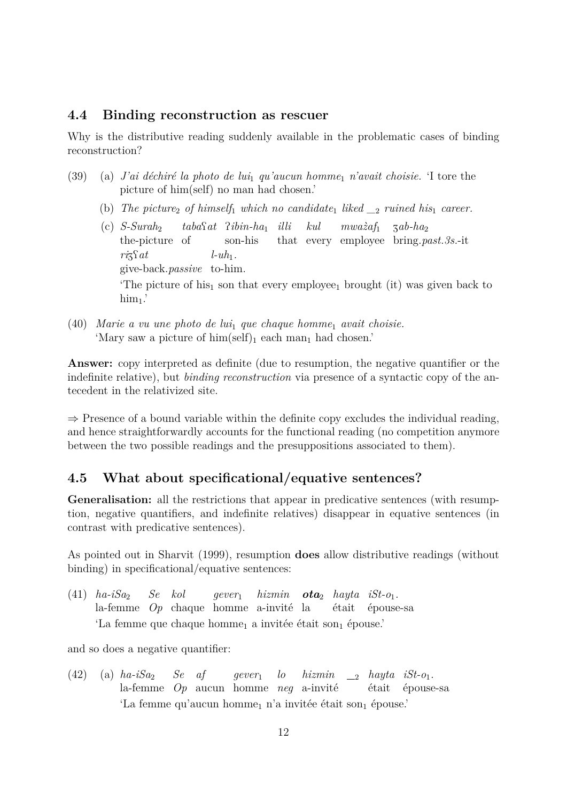### **4.4 Binding reconstruction as rescuer**

Why is the distributive reading suddenly available in the problematic cases of binding reconstruction?

- (39) (a) *J'ai déchiré la photo de lui*<sup>1</sup> *qu'aucun homme*<sup>1</sup> *n'avait choisie.* 'I tore the picture of him(self) no man had chosen.'
	- (b) The picture<sub>2</sub> of himself<sub>1</sub> which no candidate<sub>1</sub> liked  $\_2$  ruined his<sub>1</sub> career.
	- $(c)$  *S-Surah*<sub>2</sub> the-picture of *taba*Q*at* P*ibin-ha*<sup>1</sup> *illi* son-his that every employee bring.*past.3s.*-it *kul*  $mwa\ddot{z}af_1$  $zab-ha_2$  $ri\overline{\varsigma}$ <del>at</del> give-back.*passive* to-him.  $l$ - $uh_1$ . The picture of his<sub>1</sub> son that every employee<sub>1</sub> brought (it) was given back to  $him<sub>1</sub>$ .
- (40) *Marie a vu une photo de lui*<sup>1</sup> *que chaque homme*<sup>1</sup> *avait choisie.* 'Mary saw a picture of  $\lim(\text{self})_1$  each man<sub>1</sub> had chosen.'

**Answer:** copy interpreted as definite (due to resumption, the negative quantifier or the indefinite relative), but *binding reconstruction* via presence of a syntactic copy of the antecedent in the relativized site.

 $\Rightarrow$  Presence of a bound variable within the definite copy excludes the individual reading, and hence straightforwardly accounts for the functional reading (no competition anymore between the two possible readings and the presuppositions associated to them).

## **4.5 What about specificational/equative sentences?**

**Generalisation:** all the restrictions that appear in predicative sentences (with resumption, negative quantifiers, and indefinite relatives) disappear in equative sentences (in contrast with predicative sentences).

As pointed out in Sharvit (1999), resumption **does** allow distributive readings (without binding) in specificational/equative sentences:

 $(41)$  *ha-iSa*<sub>2</sub> la-femme *Op* chaque homme a-invité la *Se kol gever*<sup>1</sup> *hizmin*  $ot\mathbf{a}_2$  *hayta iSt-o*<sub>1</sub>*.* était épouse-sa 'La femme que chaque homme<sub>1</sub> a invitée était son<sub>1</sub> épouse.'

and so does a negative quantifier:

 $(42)$  (a)  $ha-iSa<sub>2</sub>$ la-femme *Op* aucun homme *neg* a-invité *Se af gever*<sup>1</sup> *lo hizmin* <sup>2</sup> *hayta iSt-o*1*.* était épouse-sa 'La femme qu'aucun homme<sub>1</sub> n'a invitée était son<sub>1</sub> épouse.'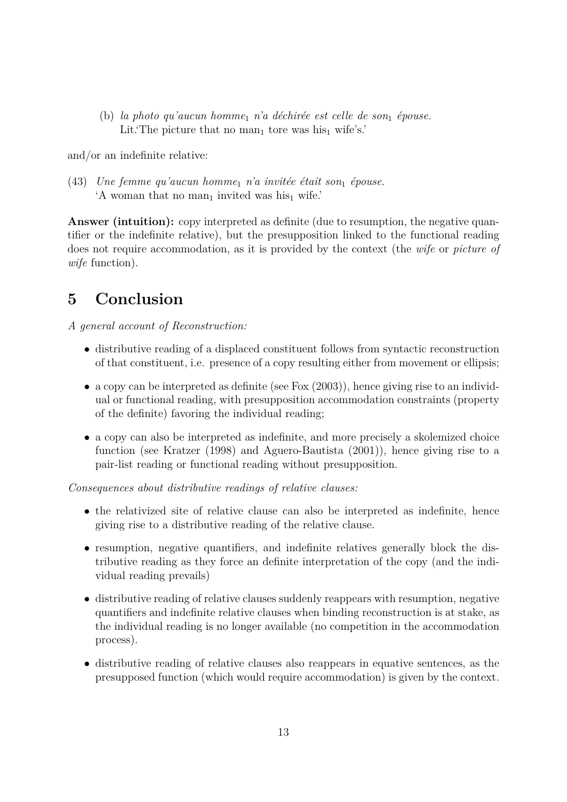(b) *la photo qu'aucun homme*<sub>1</sub> *n'a déchirée est celle de son*<sub>1</sub> épouse. Lit. The picture that no man<sub>1</sub> tore was his<sub>1</sub> wife's.'

and/or an indefinite relative:

(43) *Une femme qu'aucun homme*<sup>1</sup> *n'a invitée était son*<sup>1</sup> *épouse.* 'A woman that no man<sub>1</sub> invited was his<sub>1</sub> wife.'

**Answer (intuition):** copy interpreted as definite (due to resumption, the negative quantifier or the indefinite relative), but the presupposition linked to the functional reading does not require accommodation, as it is provided by the context (the *wife* or *picture of wife* function).

# **5 Conclusion**

*A general account of Reconstruction:*

- distributive reading of a displaced constituent follows from syntactic reconstruction of that constituent, i.e. presence of a copy resulting either from movement or ellipsis;
- a copy can be interpreted as definite (see Fox  $(2003)$ ), hence giving rise to an individual or functional reading, with presupposition accommodation constraints (property of the definite) favoring the individual reading;
- a copy can also be interpreted as indefinite, and more precisely a skolemized choice function (see Kratzer (1998) and Aguero-Bautista (2001)), hence giving rise to a pair-list reading or functional reading without presupposition.

*Consequences about distributive readings of relative clauses:*

- the relativized site of relative clause can also be interpreted as indefinite, hence giving rise to a distributive reading of the relative clause.
- resumption, negative quantifiers, and indefinite relatives generally block the distributive reading as they force an definite interpretation of the copy (and the individual reading prevails)
- distributive reading of relative clauses suddenly reappears with resumption, negative quantifiers and indefinite relative clauses when binding reconstruction is at stake, as the individual reading is no longer available (no competition in the accommodation process).
- distributive reading of relative clauses also reappears in equative sentences, as the presupposed function (which would require accommodation) is given by the context.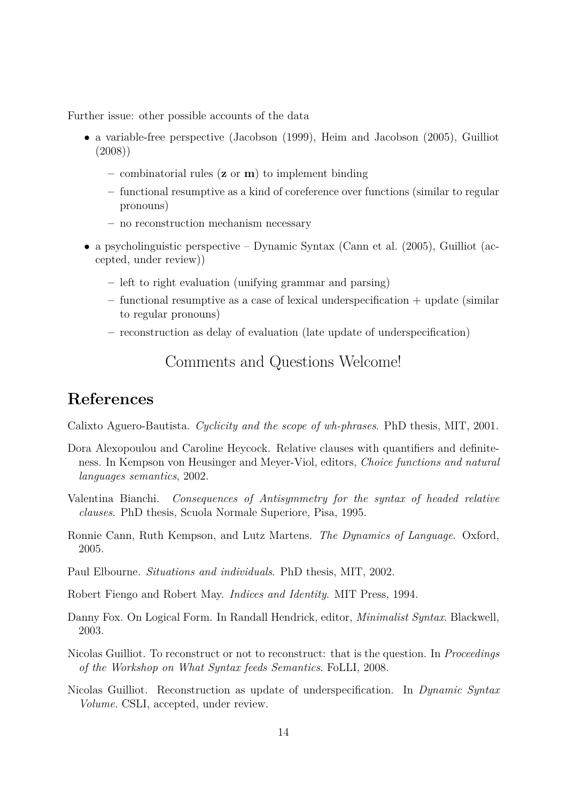Further issue: other possible accounts of the data

- a variable-free perspective (Jacobson (1999), Heim and Jacobson (2005), Guilliot (2008))
	- **–** combinatorial rules (**z** or **m**) to implement binding
	- **–** functional resumptive as a kind of coreference over functions (similar to regular pronouns)
	- **–** no reconstruction mechanism necessary
- a psycholinguistic perspective Dynamic Syntax (Cann et al. (2005), Guilliot (accepted, under review))
	- **–** left to right evaluation (unifying grammar and parsing)
	- **–** functional resumptive as a case of lexical underspecification + update (similar to regular pronouns)
	- **–** reconstruction as delay of evaluation (late update of underspecification)

## Comments and Questions Welcome!

## **References**

Calixto Aguero-Bautista. *Cyclicity and the scope of wh-phrases*. PhD thesis, MIT, 2001.

- Dora Alexopoulou and Caroline Heycock. Relative clauses with quantifiers and definiteness. In Kempson von Heusinger and Meyer-Viol, editors, *Choice functions and natural languages semantics*, 2002.
- Valentina Bianchi. *Consequences of Antisymmetry for the syntax of headed relative clauses*. PhD thesis, Scuola Normale Superiore, Pisa, 1995.
- Ronnie Cann, Ruth Kempson, and Lutz Martens. *The Dynamics of Language*. Oxford, 2005.
- Paul Elbourne. *Situations and individuals*. PhD thesis, MIT, 2002.
- Robert Fiengo and Robert May. *Indices and Identity*. MIT Press, 1994.
- Danny Fox. On Logical Form. In Randall Hendrick, editor, *Minimalist Syntax*. Blackwell, 2003.
- Nicolas Guilliot. To reconstruct or not to reconstruct: that is the question. In *Proceedings of the Workshop on What Syntax feeds Semantics*. FoLLI, 2008.
- Nicolas Guilliot. Reconstruction as update of underspecification. In *Dynamic Syntax Volume*. CSLI, accepted, under review.